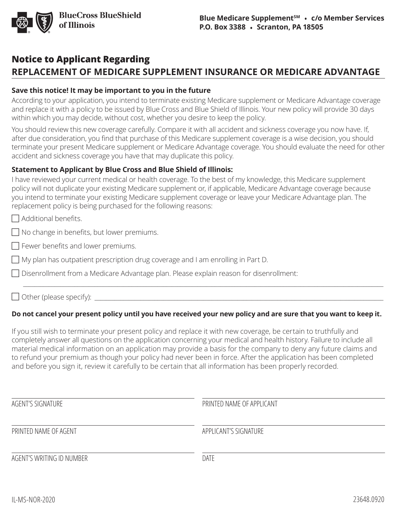

## **Notice to Applicant Regarding REPLACEMENT OF MEDICARE SUPPLEMENT INSURANCE OR MEDICARE ADVANTAGE**

## **Save this notice! It may be important to you in the future**

According to your application, you intend to terminate existing Medicare supplement or Medicare Advantage coverage and replace it with a policy to be issued by Blue Cross and Blue Shield of Illinois. Your new policy will provide 30 days within which you may decide, without cost, whether you desire to keep the policy.

You should review this new coverage carefully. Compare it with all accident and sickness coverage you now have. If, after due consideration, you find that purchase of this Medicare supplement coverage is a wise decision, you should terminate your present Medicare supplement or Medicare Advantage coverage. You should evaluate the need for other accident and sickness coverage you have that may duplicate this policy.

## **Statement to Applicant by Blue Cross and Blue Shield of Illinois:**

I have reviewed your current medical or health coverage. To the best of my knowledge, this Medicare supplement policy will not duplicate your existing Medicare supplement or, if applicable, Medicare Advantage coverage because you intend to terminate your existing Medicare supplement coverage or leave your Medicare Advantage plan. The replacement policy is being purchased for the following reasons:

 $\Box$  Additional benefits.

 $\Box$  No change in benefits, but lower premiums.

- $\Box$  Fewer benefits and lower premiums.
- $\Box$  My plan has outpatient prescription drug coverage and I am enrolling in Part D.
- □ Disenrollment from a Medicare Advantage plan. Please explain reason for disenrollment:

 $\Box$  Other (please specify):

## **Do not cancel your present policy until you have received your new policy and are sure that you want to keep it.**

\_\_\_\_\_\_\_\_\_\_\_\_\_\_\_\_\_\_\_\_\_\_\_\_\_\_\_\_\_\_\_\_\_\_\_\_\_\_\_\_\_\_\_\_\_\_\_\_\_\_\_\_\_\_\_\_\_\_\_\_\_\_\_\_\_\_\_\_\_\_\_\_\_\_\_\_\_\_\_\_\_\_\_\_\_\_\_\_\_\_\_\_\_\_\_\_\_\_\_\_\_\_\_\_\_\_\_\_\_\_\_\_\_\_\_\_\_\_\_\_\_\_\_\_\_\_

If you still wish to terminate your present policy and replace it with new coverage, be certain to truthfully and completely answer all questions on the application concerning your medical and health history. Failure to include all material medical information on an application may provide a basis for the company to deny any future claims and to refund your premium as though your policy had never been in force. After the application has been completed and before you sign it, review it carefully to be certain that all information has been properly recorded.

| AGENT'S SIGNATURE         | PRINTED NAME OF APPLICANT |
|---------------------------|---------------------------|
| PRINTED NAME OF AGENT     | APPLICANT'S SIGNATURE     |
| AGENT'S WRITING ID NUMBER | DATE                      |